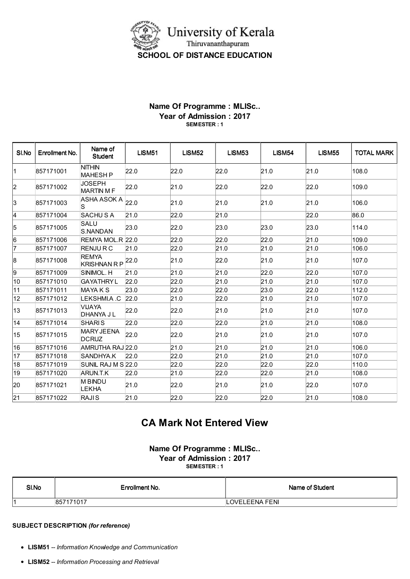

## Name Of Programme : MLISc.. Year of Admission : 2017 SEMESTER : 1

| SI.No | Enrollment No. | Name of<br><b>Student</b>                         | <b>LISM51</b> | LISM52 | <b>LISM53</b> | LISM54 | <b>LISM55</b> | <b>TOTAL MARK</b> |
|-------|----------------|---------------------------------------------------|---------------|--------|---------------|--------|---------------|-------------------|
| 11    | 857171001      | <b>NITHIN</b><br><b>MAHESH P</b>                  | 22.0          | 22.0   | 22.0          | 21.0   | 21.0          | 108.0             |
| l2    | 857171002      | JOSEPH<br><b>MARTIN M F</b>                       | 22.0          | 21.0   | 22.0          | 22.0   | 22.0          | 109.0             |
| 3     | 857171003      | $\overline{\text{ASHA} \text{ ASOK A}}$ 22.0<br>S |               | 21.0   | 21.0          | 21.0   | 21.0          | 106.0             |
| 4     | 857171004      | <b>SACHUSA</b>                                    | 21.0          | 22.0   | 21.0          |        | 22.0          | 86.0              |
| 5     | 857171005      | <b>SALU</b><br>S.NANDAN                           | 23.0          | 22.0   | 23.0          | 23.0   | 23.0          | 114.0             |
| 6     | 857171006      | REMYA MOL.R 22.0                                  |               | 22.0   | 22.0          | 22.0   | 21.0          | 109.0             |
| 17    | 857171007      | <b>RENJURC</b>                                    | 21.0          | 22.0   | 21.0          | 21.0   | 21.0          | 106.0             |
| 8     | 857171008      | <b>REMYA</b><br><b>KRISHNAN R P</b>               | 22.0          | 21.0   | 22.0          | 21.0   | 21.0          | 107.0             |
| g.    | 857171009      | SINIMOL. H                                        | 21.0          | 21.0   | 21.0          | 22.0   | 22.0          | 107.0             |
| 10    | 857171010      | <b>GAYATHRY L</b>                                 | 22.0          | 22.0   | 21.0          | 21.0   | 21.0          | 107.0             |
| 11    | 857171011      | MAYA K S                                          | 23.0          | 22.0   | 22.0          | 23.0   | 22.0          | 112.0             |
| 12    | 857171012      | LEKSHMI.A .C                                      | 22.0          | 21.0   | 22.0          | 21.0   | 21.0          | 107.0             |
| 13    | 857171013      | VIJAYA<br>DHANYA J L                              | 22.0          | 22.0   | 21.0          | 21.0   | 21.0          | 107.0             |
| 14    | 857171014      | <b>SHARIS</b>                                     | 22.0          | 22.0   | 22.0          | 21.0   | 21.0          | 108.0             |
| 15    | 857171015      | <b>MARY JEENA</b><br><b>DCRUZ</b>                 | 22.0          | 22.0   | 21.0          | 21.0   | 21.0          | 107.0             |
| 16    | 857171016      | AMRUTHA RAJ 22.0                                  |               | 21.0   | 21.0          | 21.0   | 21.0          | 106.0             |
| 17    | 857171018      | SANDHYA.K                                         | 22.0          | 22.0   | 21.0          | 21.0   | 21.0          | 107.0             |
| 18    | 857171019      | SUNIL RAJ M S 22.0                                |               | 22.0   | 22.0          | 22.0   | 22.0          | 110.0             |
| 19    | 857171020      | ARUN.T.K                                          | 22.0          | 21.0   | 22.0          | 22.0   | 21.0          | 108.0             |
| 20    | 857171021      | <b>M BINDU</b><br><b>LEKHA</b>                    | 21.0          | 22.0   | 21.0          | 21.0   | 22.0          | 107.0             |
| 21    | 857171022      | <b>RAJIS</b>                                      | 21.0          | 22.0   | 22.0          | 22.0   | 21.0          | 108.0             |

## CA Mark Not Entered View

Name Of Programme : MLISc.. Year of Admission : 2017 SEMESTER : 1

| SI.No | Enrollment No. | Name of Student |
|-------|----------------|-----------------|
|       | 857171017      | LOVELEENA FENI  |

## SUBJECT DESCRIPTION (for reference)

- LISM51 -- Information Knowledge and Communication
- LISM52 -- Information Processing and Retrieval